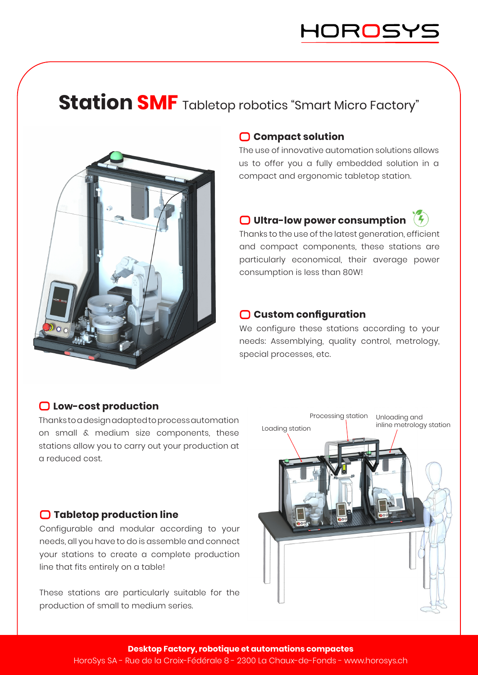## **Station SMF** Tabletop robotics "Smart Micro Factory"



#### **Compact solution**

The use of innovative automation solutions allows us to offer you a fully embedded solution in a compact and ergonomic tabletop station.

### **O** Ultra-low power consumption  $\frac{7}{7}$

Thanks to the use of the latest generation, efficient and compact components, these stations are particularly economical, their average power consumption is less than 80W!

#### **Custom configuration**

We configure these stations according to your needs: Assemblying, quality control, metrology, special processes, etc.

### **Low-cost production**

Thanks to a design adapted to process automation on small & medium size components, these stations allow you to carry out your production at a reduced cost.

#### **Tabletop production line**

Configurable and modular according to your needs, all you have to do is assemble and connect your stations to create a complete production line that fits entirely on a table!

These stations are particularly suitable for the production of small to medium series.